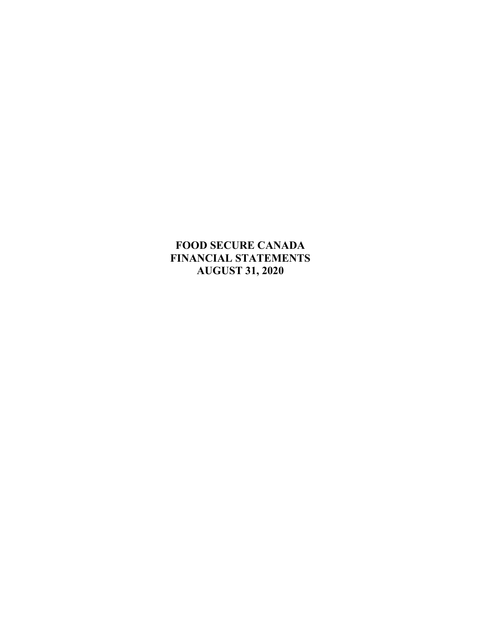**FOOD SECURE CANADA FINANCIAL STATEMENTS AUGUST 31, 2020**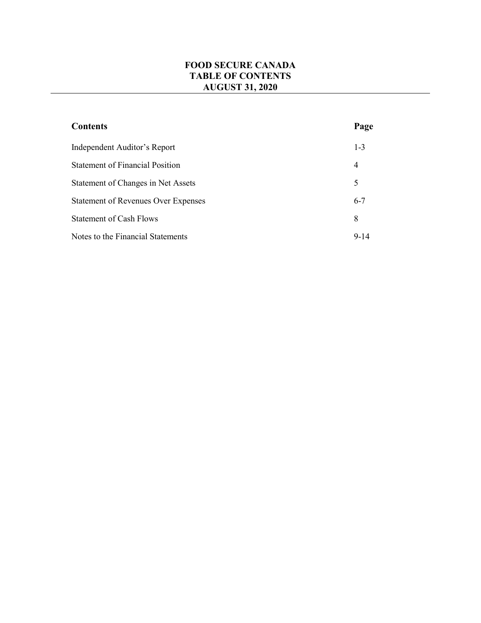# **FOOD SECURE CANADA TABLE OF CONTENTS AUGUST 31, 2020**

| <b>Contents</b>                            | Page     |
|--------------------------------------------|----------|
| Independent Auditor's Report               | $1 - 3$  |
| <b>Statement of Financial Position</b>     | 4        |
| Statement of Changes in Net Assets         | 5        |
| <b>Statement of Revenues Over Expenses</b> | $6 - 7$  |
| <b>Statement of Cash Flows</b>             | 8        |
| Notes to the Financial Statements          | $9 - 14$ |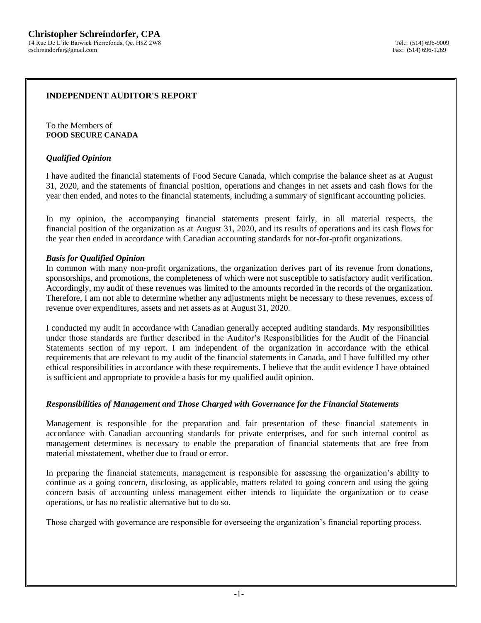## **INDEPENDENT AUDITOR'S REPORT**

To the Members of **FOOD SECURE CANADA** 

## *Qualified Opinion*

I have audited the financial statements of Food Secure Canada, which comprise the balance sheet as at August 31, 2020, and the statements of financial position, operations and changes in net assets and cash flows for the year then ended, and notes to the financial statements, including a summary of significant accounting policies.

In my opinion, the accompanying financial statements present fairly, in all material respects, the financial position of the organization as at August 31, 2020, and its results of operations and its cash flows for the year then ended in accordance with Canadian accounting standards for not-for-profit organizations.

## *Basis for Qualified Opinion*

In common with many non-profit organizations, the organization derives part of its revenue from donations, sponsorships, and promotions, the completeness of which were not susceptible to satisfactory audit verification. Accordingly, my audit of these revenues was limited to the amounts recorded in the records of the organization. Therefore, I am not able to determine whether any adjustments might be necessary to these revenues, excess of revenue over expenditures, assets and net assets as at August 31, 2020.

I conducted my audit in accordance with Canadian generally accepted auditing standards. My responsibilities under those standards are further described in the Auditor's Responsibilities for the Audit of the Financial Statements section of my report. I am independent of the organization in accordance with the ethical requirements that are relevant to my audit of the financial statements in Canada, and I have fulfilled my other ethical responsibilities in accordance with these requirements. I believe that the audit evidence I have obtained is sufficient and appropriate to provide a basis for my qualified audit opinion.

#### *Responsibilities of Management and Those Charged with Governance for the Financial Statements*

Management is responsible for the preparation and fair presentation of these financial statements in accordance with Canadian accounting standards for private enterprises, and for such internal control as management determines is necessary to enable the preparation of financial statements that are free from material misstatement, whether due to fraud or error.

In preparing the financial statements, management is responsible for assessing the organization's ability to continue as a going concern, disclosing, as applicable, matters related to going concern and using the going concern basis of accounting unless management either intends to liquidate the organization or to cease operations, or has no realistic alternative but to do so.

Those charged with governance are responsible for overseeing the organization's financial reporting process.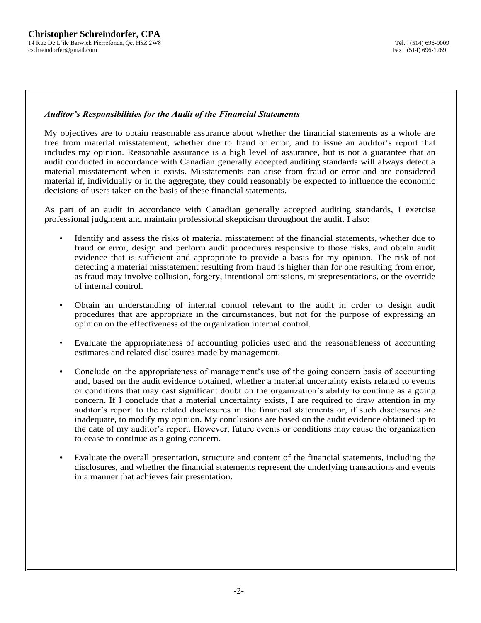## *Auditor's Responsibilities for the Audit of the Financial Statements*

My objectives are to obtain reasonable assurance about whether the financial statements as a whole are free from material misstatement, whether due to fraud or error, and to issue an auditor's report that includes my opinion. Reasonable assurance is a high level of assurance, but is not a guarantee that an audit conducted in accordance with Canadian generally accepted auditing standards will always detect a material misstatement when it exists. Misstatements can arise from fraud or error and are considered material if, individually or in the aggregate, they could reasonably be expected to influence the economic decisions of users taken on the basis of these financial statements.

As part of an audit in accordance with Canadian generally accepted auditing standards, I exercise professional judgment and maintain professional skepticism throughout the audit. I also:

- Identify and assess the risks of material misstatement of the financial statements, whether due to fraud or error, design and perform audit procedures responsive to those risks, and obtain audit evidence that is sufficient and appropriate to provide a basis for my opinion. The risk of not detecting a material misstatement resulting from fraud is higher than for one resulting from error, as fraud may involve collusion, forgery, intentional omissions, misrepresentations, or the override of internal control.
- Obtain an understanding of internal control relevant to the audit in order to design audit procedures that are appropriate in the circumstances, but not for the purpose of expressing an opinion on the effectiveness of the organization internal control.
- Evaluate the appropriateness of accounting policies used and the reasonableness of accounting estimates and related disclosures made by management.
- Conclude on the appropriateness of management's use of the going concern basis of accounting and, based on the audit evidence obtained, whether a material uncertainty exists related to events or conditions that may cast significant doubt on the organization's ability to continue as a going concern. If I conclude that a material uncertainty exists, I are required to draw attention in my auditor's report to the related disclosures in the financial statements or, if such disclosures are inadequate, to modify my opinion. My conclusions are based on the audit evidence obtained up to the date of my auditor's report. However, future events or conditions may cause the organization to cease to continue as a going concern.
- Evaluate the overall presentation, structure and content of the financial statements, including the disclosures, and whether the financial statements represent the underlying transactions and events in a manner that achieves fair presentation.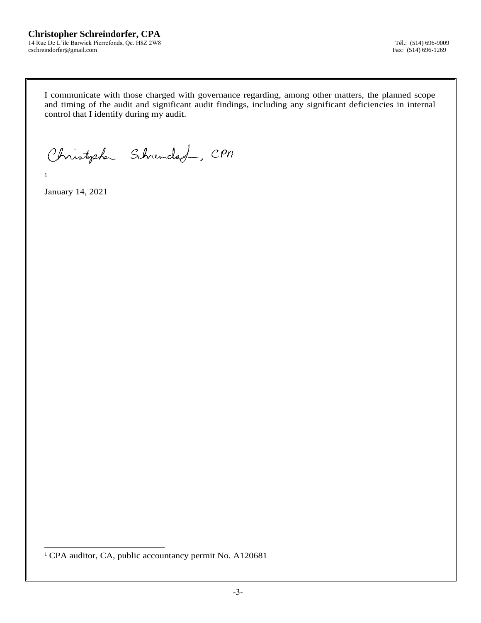I communicate with those charged with governance regarding, among other matters, the planned scope and timing of the audit and significant audit findings, including any significant deficiencies in internal control that I identify during my audit.

Christopher Schrendad, CPA

January 14, 2021

1

<sup>1</sup> CPA auditor, CA, public accountancy permit No. A120681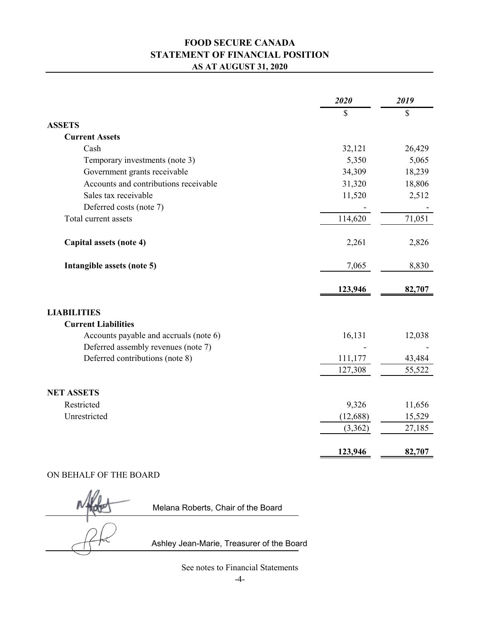# **FOOD SECURE CANADA STATEMENT OF FINANCIAL POSITION AS AT AUGUST 31, 2020**

|                                        | 2020      | 2019         |
|----------------------------------------|-----------|--------------|
|                                        | \$        | $\mathbb{S}$ |
| <b>ASSETS</b>                          |           |              |
| <b>Current Assets</b>                  |           |              |
| Cash                                   | 32,121    | 26,429       |
| Temporary investments (note 3)         | 5,350     | 5,065        |
| Government grants receivable           | 34,309    | 18,239       |
| Accounts and contributions receivable  | 31,320    | 18,806       |
| Sales tax receivable                   | 11,520    | 2,512        |
| Deferred costs (note 7)                |           |              |
| Total current assets                   | 114,620   | 71,051       |
| Capital assets (note 4)                | 2,261     | 2,826        |
| Intangible assets (note 5)             | 7,065     | 8,830        |
|                                        | 123,946   | 82,707       |
| <b>LIABILITIES</b>                     |           |              |
| <b>Current Liabilities</b>             |           |              |
| Accounts payable and accruals (note 6) | 16,131    | 12,038       |
| Deferred assembly revenues (note 7)    |           |              |
| Deferred contributions (note 8)        | 111,177   | 43,484       |
|                                        | 127,308   | 55,522       |
| <b>NET ASSETS</b>                      |           |              |
| Restricted                             | 9,326     | 11,656       |
| Unrestricted                           | (12, 688) | 15,529       |
|                                        | (3,362)   | 27,185       |
|                                        | 123,946   | 82,707       |

## ON BEHALF OF THE BOARD

Melana Roberts, Chair of the Board

Ashley Jean-Marie, Treasurer of the Board

See notes to Financial Statements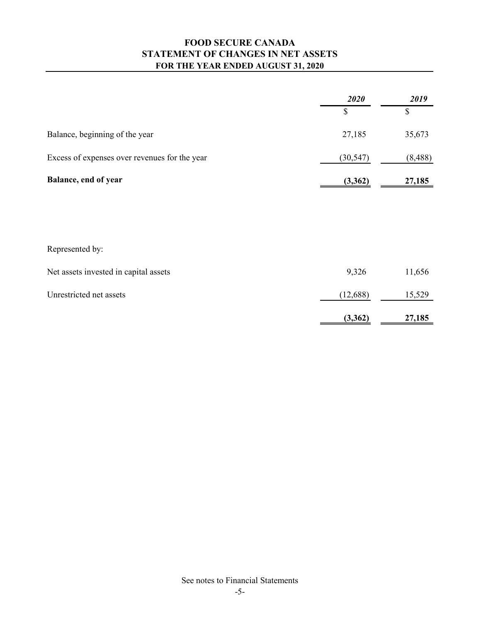# **FOOD SECURE CANADA STATEMENT OF CHANGES IN NET ASSETS FOR THE YEAR ENDED AUGUST 31, 2020**

|                                               | 2020      | 2019     |
|-----------------------------------------------|-----------|----------|
|                                               | \$        | \$       |
| Balance, beginning of the year                | 27,185    | 35,673   |
| Excess of expenses over revenues for the year | (30, 547) | (8, 488) |
| Balance, end of year                          | (3,362)   | 27,185   |
|                                               |           |          |
|                                               |           |          |
| Represented by:                               |           |          |
| Net assets invested in capital assets         | 9,326     | 11,656   |
| Unrestricted net assets                       | (12, 688) | 15,529   |
|                                               | (3, 362)  | 27,185   |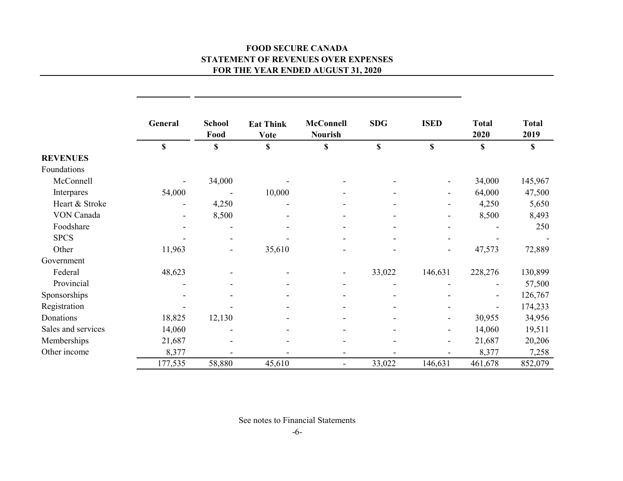# **FOOD SECURE CANADA STATEMENT OF REVENUES OVER EXPENSES FOR THE YEAR ENDED AUGUST 31, 2020**

|                    | General                      | <b>School</b> | <b>Eat Think</b> | <b>McConnell</b>             | <b>SDG</b>               | <b>ISED</b>              | <b>Total</b>             | <b>Total</b> |
|--------------------|------------------------------|---------------|------------------|------------------------------|--------------------------|--------------------------|--------------------------|--------------|
|                    |                              | Food          | <b>Vote</b>      | <b>Nourish</b>               |                          |                          | 2020                     | 2019         |
|                    | \$                           | \$            | \$               | \$                           | \$                       | $\mathbf S$              | \$                       | \$           |
| <b>REVENUES</b>    |                              |               |                  |                              |                          |                          |                          |              |
| Foundations        |                              |               |                  |                              |                          |                          |                          |              |
| McConnell          |                              | 34,000        |                  |                              |                          | $\overline{\phantom{a}}$ | 34,000                   | 145,967      |
| Interpares         | 54,000                       |               | 10,000           | $\overline{\phantom{a}}$     | $\overline{\phantom{a}}$ | $\overline{\phantom{a}}$ | 64,000                   | 47,500       |
| Heart & Stroke     |                              | 4,250         |                  | $\overline{\phantom{a}}$     |                          | $\overline{\phantom{a}}$ | 4,250                    | 5,650        |
| VON Canada         | $\blacksquare$               | 8,500         |                  | $\overline{\phantom{a}}$     | $\overline{\phantom{a}}$ | $\overline{\phantom{a}}$ | 8,500                    | 8,493        |
| Foodshare          |                              |               |                  | $\qquad \qquad -$            |                          | $\overline{\phantom{a}}$ | $\overline{\phantom{a}}$ | 250          |
| <b>SPCS</b>        |                              |               |                  | $\overline{\phantom{a}}$     |                          | $\blacksquare$           |                          |              |
| Other              | 11,963                       |               | 35,610           | $\overline{\phantom{0}}$     |                          | $\overline{\phantom{a}}$ | 47,573                   | 72,889       |
| Government         |                              |               |                  |                              |                          |                          |                          |              |
| Federal            | 48,623                       |               |                  | $\overline{\phantom{a}}$     | 33,022                   | 146,631                  | 228,276                  | 130,899      |
| Provincial         | $\qquad \qquad \blacksquare$ |               | Ξ.               | $\overline{\phantom{a}}$     | $\overline{\phantom{a}}$ | $\overline{\phantom{a}}$ | $\overline{\phantom{a}}$ | 57,500       |
| Sponsorships       |                              |               |                  | $\overline{\phantom{0}}$     |                          |                          | $\blacksquare$           | 126,767      |
| Registration       |                              |               |                  | $\overline{\phantom{0}}$     |                          | $\blacksquare$           | $\blacksquare$           | 174,233      |
| Donations          | 18,825                       | 12,130        |                  | $\overline{\phantom{a}}$     | $\overline{\phantom{a}}$ | $\overline{\phantom{a}}$ | 30,955                   | 34,956       |
| Sales and services | 14,060                       |               |                  | $\overline{\phantom{a}}$     |                          | $\blacksquare$           | 14,060                   | 19,511       |
| Memberships        | 21,687                       |               |                  | $\overline{\phantom{0}}$     |                          | $\overline{a}$           | 21,687                   | 20,206       |
| Other income       | 8,377                        |               |                  | $\qquad \qquad \blacksquare$ |                          |                          | 8,377                    | 7,258        |
|                    | 177,535                      | 58,880        | 45,610           | $\overline{\phantom{a}}$     | 33,022                   | 146,631                  | 461,678                  | 852,079      |

See notes to Financial Statements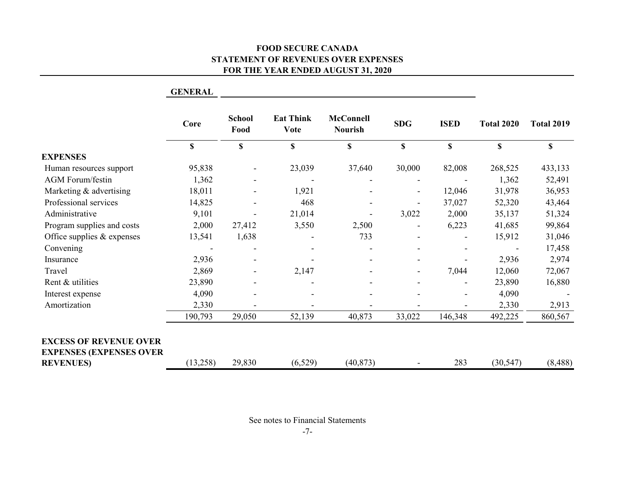# **FOOD SECURE CANADA STATEMENT OF REVENUES OVER EXPENSES FOR THE YEAR ENDED AUGUST 31, 2020**

|                                                                 | <b>GENERAL</b> |                       |                                 |                                    |                          |             |                   |                   |
|-----------------------------------------------------------------|----------------|-----------------------|---------------------------------|------------------------------------|--------------------------|-------------|-------------------|-------------------|
|                                                                 | Core           | <b>School</b><br>Food | <b>Eat Think</b><br><b>Vote</b> | <b>McConnell</b><br><b>Nourish</b> | <b>SDG</b>               | <b>ISED</b> | <b>Total 2020</b> | <b>Total 2019</b> |
|                                                                 | \$             | \$                    | \$                              | \$                                 | $\mathbf S$              | \$          | \$                | \$                |
| <b>EXPENSES</b>                                                 |                |                       |                                 |                                    |                          |             |                   |                   |
| Human resources support                                         | 95,838         |                       | 23,039                          | 37,640                             | 30,000                   | 82,008      | 268,525           | 433,133           |
| <b>AGM</b> Forum/festin                                         | 1,362          |                       |                                 |                                    |                          |             | 1,362             | 52,491            |
| Marketing & advertising                                         | 18,011         |                       | 1,921                           |                                    |                          | 12,046      | 31,978            | 36,953            |
| Professional services                                           | 14,825         |                       | 468                             |                                    |                          | 37,027      | 52,320            | 43,464            |
| Administrative                                                  | 9,101          |                       | 21,014                          |                                    | 3,022                    | 2,000       | 35,137            | 51,324            |
| Program supplies and costs                                      | 2,000          | 27,412                | 3,550                           | 2,500                              |                          | 6,223       | 41,685            | 99,864            |
| Office supplies $&$ expenses                                    | 13,541         | 1,638                 |                                 | 733                                |                          |             | 15,912            | 31,046            |
| Convening                                                       |                |                       |                                 |                                    |                          |             |                   | 17,458            |
| Insurance                                                       | 2,936          |                       |                                 |                                    |                          |             | 2,936             | 2,974             |
| Travel                                                          | 2,869          |                       | 2,147                           |                                    | $\overline{\phantom{a}}$ | 7,044       | 12,060            | 72,067            |
| Rent & utilities                                                | 23,890         |                       |                                 |                                    |                          |             | 23,890            | 16,880            |
| Interest expense                                                | 4,090          |                       |                                 |                                    |                          |             | 4,090             |                   |
| Amortization                                                    | 2,330          |                       |                                 |                                    |                          |             | 2,330             | 2,913             |
|                                                                 | 190,793        | 29,050                | 52,139                          | 40,873                             | 33,022                   | 146,348     | 492,225           | 860,567           |
| <b>EXCESS OF REVENUE OVER</b><br><b>EXPENSES (EXPENSES OVER</b> |                |                       |                                 |                                    |                          |             |                   |                   |
| <b>REVENUES)</b>                                                | (13,258)       | 29,830                | (6,529)                         | (40, 873)                          |                          | 283         | (30, 547)         | (8, 488)          |

See notes to Financial Statements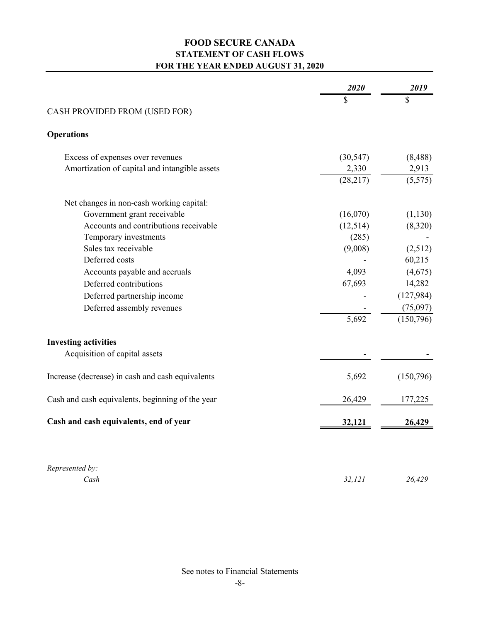# **FOOD SECURE CANADA STATEMENT OF CASH FLOWS FOR THE YEAR ENDED AUGUST 31, 2020**

|                                                  | 2020      | 2019         |
|--------------------------------------------------|-----------|--------------|
|                                                  |           | $\mathbb{S}$ |
| CASH PROVIDED FROM (USED FOR)                    |           |              |
| <b>Operations</b>                                |           |              |
| Excess of expenses over revenues                 | (30, 547) | (8, 488)     |
| Amortization of capital and intangible assets    | 2,330     | 2,913        |
|                                                  | (28,217)  | (5,575)      |
| Net changes in non-cash working capital:         |           |              |
| Government grant receivable                      | (16,070)  | (1,130)      |
| Accounts and contributions receivable            | (12, 514) | (8,320)      |
| Temporary investments                            | (285)     |              |
| Sales tax receivable                             | (9,008)   | (2,512)      |
| Deferred costs                                   |           | 60,215       |
| Accounts payable and accruals                    | 4,093     | (4,675)      |
| Deferred contributions                           | 67,693    | 14,282       |
| Deferred partnership income                      |           | (127, 984)   |
| Deferred assembly revenues                       |           | (75,097)     |
|                                                  | 5,692     | (150, 796)   |
| <b>Investing activities</b>                      |           |              |
| Acquisition of capital assets                    |           |              |
| Increase (decrease) in cash and cash equivalents | 5,692     | (150, 796)   |
| Cash and cash equivalents, beginning of the year | 26,429    | 177,225      |
| Cash and cash equivalents, end of year           | 32,121    | 26,429       |
|                                                  |           |              |
| Represented by:                                  |           |              |
| Cash                                             | 32,121    | 26,429       |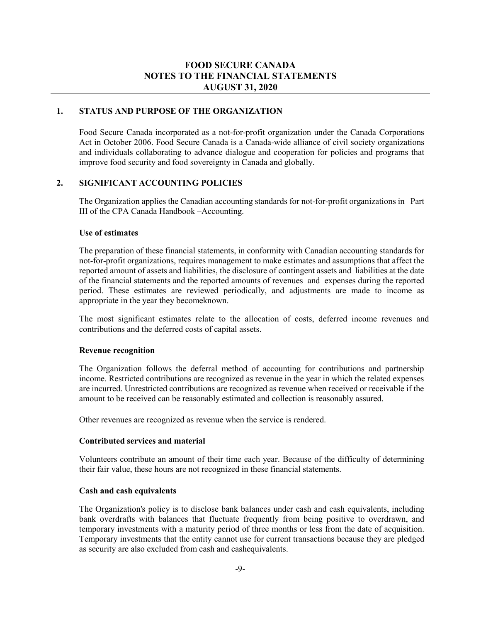#### **1. STATUS AND PURPOSE OF THE ORGANIZATION**

Food Secure Canada incorporated as a not-for-profit organization under the Canada Corporations Act in October 2006. Food Secure Canada is a Canada-wide alliance of civil society organizations and individuals collaborating to advance dialogue and cooperation for policies and programs that improve food security and food sovereignty in Canada and globally.

#### **2. SIGNIFICANT ACCOUNTING POLICIES**

The Organization applies the Canadian accounting standards for not-for-profit organizations in Part III of the CPA Canada Handbook –Accounting.

#### **Use of estimates**

The preparation of these financial statements, in conformity with Canadian accounting standards for not-for-profit organizations, requires management to make estimates and assumptions that affect the reported amount of assets and liabilities, the disclosure of contingent assets and liabilities at the date of the financial statements and the reported amounts of revenues and expenses during the reported period. These estimates are reviewed periodically, and adjustments are made to income as appropriate in the year they becomeknown.

The most significant estimates relate to the allocation of costs, deferred income revenues and contributions and the deferred costs of capital assets.

#### **Revenue recognition**

The Organization follows the deferral method of accounting for contributions and partnership income. Restricted contributions are recognized as revenue in the year in which the related expenses are incurred. Unrestricted contributions are recognized as revenue when received or receivable if the amount to be received can be reasonably estimated and collection is reasonably assured.

Other revenues are recognized as revenue when the service is rendered.

### **Contributed services and material**

Volunteers contribute an amount of their time each year. Because of the difficulty of determining their fair value, these hours are not recognized in these financial statements.

#### **Cash and cash equivalents**

The Organization's policy is to disclose bank balances under cash and cash equivalents, including bank overdrafts with balances that fluctuate frequently from being positive to overdrawn, and temporary investments with a maturity period of three months or less from the date of acquisition. Temporary investments that the entity cannot use for current transactions because they are pledged as security are also excluded from cash and cashequivalents.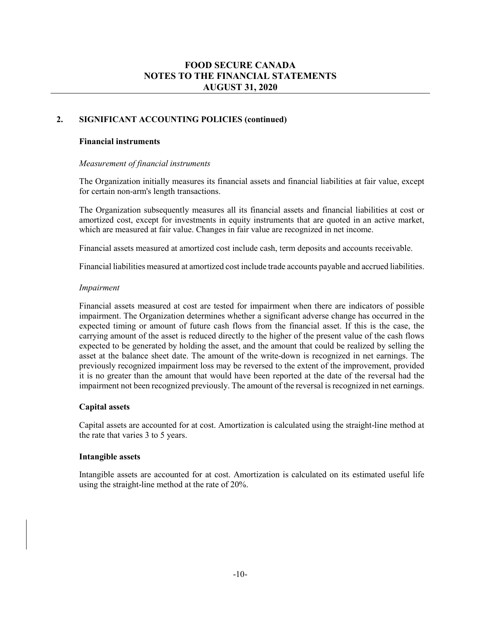## **2. SIGNIFICANT ACCOUNTING POLICIES (continued)**

### **Financial instruments**

## *Measurement of financial instruments*

The Organization initially measures its financial assets and financial liabilities at fair value, except for certain non-arm's length transactions.

The Organization subsequently measures all its financial assets and financial liabilities at cost or amortized cost, except for investments in equity instruments that are quoted in an active market, which are measured at fair value. Changes in fair value are recognized in net income.

Financial assets measured at amortized cost include cash, term deposits and accounts receivable.

Financial liabilities measured at amortized cost include trade accounts payable and accrued liabilities.

## *Impairment*

Financial assets measured at cost are tested for impairment when there are indicators of possible impairment. The Organization determines whether a significant adverse change has occurred in the expected timing or amount of future cash flows from the financial asset. If this is the case, the carrying amount of the asset is reduced directly to the higher of the present value of the cash flows expected to be generated by holding the asset, and the amount that could be realized by selling the asset at the balance sheet date. The amount of the write-down is recognized in net earnings. The previously recognized impairment loss may be reversed to the extent of the improvement, provided it is no greater than the amount that would have been reported at the date of the reversal had the impairment not been recognized previously. The amount of the reversal is recognized in net earnings.

## **Capital assets**

Capital assets are accounted for at cost. Amortization is calculated using the straight-line method at the rate that varies 3 to 5 years.

#### **Intangible assets**

Intangible assets are accounted for at cost. Amortization is calculated on its estimated useful life using the straight-line method at the rate of 20%.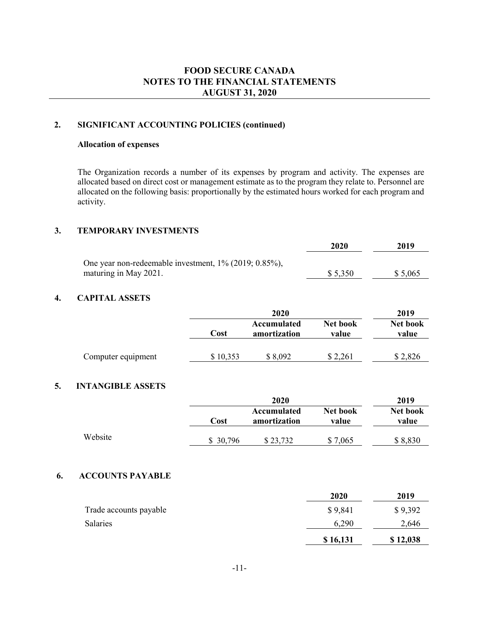## **2. SIGNIFICANT ACCOUNTING POLICIES (continued)**

### **Allocation of expenses**

The Organization records a number of its expenses by program and activity. The expenses are allocated based on direct cost or management estimate as to the program they relate to. Personnel are allocated on the following basis: proportionally by the estimated hours worked for each program and activity.

## **3. TEMPORARY INVESTMENTS**

|                                                       | 2020    | 2019    |
|-------------------------------------------------------|---------|---------|
| One year non-redeemable investment, 1% (2019; 0.85%), |         |         |
| maturing in May 2021.                                 | \$5,350 | \$5,065 |

## **4. CAPITAL ASSETS**

|                    |             | 2020                        |                   |                   |
|--------------------|-------------|-----------------------------|-------------------|-------------------|
|                    | <b>Cost</b> | Accumulated<br>amortization | Net book<br>value | Net book<br>value |
| Computer equipment | \$10,353    | \$8,092                     | \$2,261           | \$2,826           |

## **5. INTANGIBLE ASSETS**

|         |          | 2019                        |                          |                          |
|---------|----------|-----------------------------|--------------------------|--------------------------|
|         | Cost     | Accumulated<br>amortization | <b>Net book</b><br>value | <b>Net book</b><br>value |
| Website | \$30,796 | \$23,732                    | \$7,065                  | \$8,830                  |

## **6. ACCOUNTS PAYABLE**

|                        | 2020     | 2019     |
|------------------------|----------|----------|
| Trade accounts payable | \$9,841  | \$9,392  |
| <b>Salaries</b>        | 6,290    | 2,646    |
|                        | \$16,131 | \$12,038 |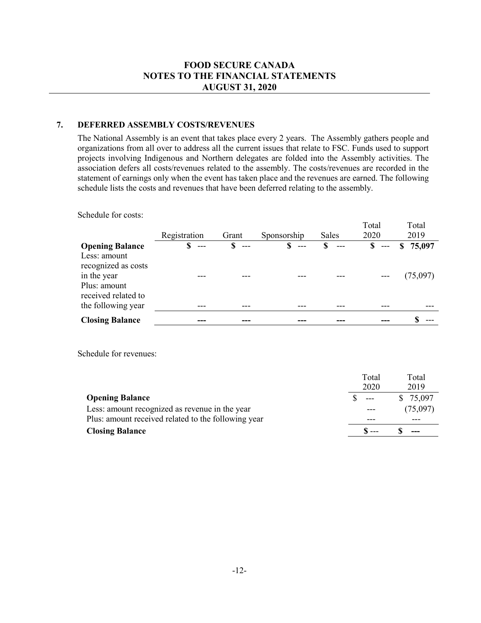## **7. DEFERRED ASSEMBLY COSTS/REVENUES**

The National Assembly is an event that takes place every 2 years. The Assembly gathers people and organizations from all over to address all the current issues that relate to FSC. Funds used to support projects involving Indigenous and Northern delegates are folded into the Assembly activities. The association defers all costs/revenues related to the assembly. The costs/revenues are recorded in the statement of earnings only when the event has taken place and the revenues are earned. The following schedule lists the costs and revenues that have been deferred relating to the assembly.

Schedule for costs:

|                        |              |             |             |            | Total       | Total        |
|------------------------|--------------|-------------|-------------|------------|-------------|--------------|
|                        | Registration | Grant       | Sponsorship | Sales      | 2020        | 2019         |
| <b>Opening Balance</b> | \$<br>$---$  | S.<br>$---$ | S.<br>$---$ | S<br>$---$ | S.<br>$---$ | 75,097<br>S. |
| Less: amount           |              |             |             |            |             |              |
| recognized as costs    |              |             |             |            |             |              |
| in the year            |              |             |             |            |             | (75,097)     |
| Plus: amount           |              |             |             |            |             |              |
| received related to    |              |             |             |            |             |              |
| the following year     |              |             |             |            |             |              |
| <b>Closing Balance</b> |              |             |             |            |             | Œ            |

Schedule for revenues:

| <b>Closing Balance</b>                              | $S = -$ | $- - -$  |
|-----------------------------------------------------|---------|----------|
| Plus: amount received related to the following year |         |          |
| Less: amount recognized as revenue in the year      |         | (75,097) |
| <b>Opening Balance</b>                              |         | 75,097   |
|                                                     | 2020    | 2019     |
|                                                     | Total   | Total    |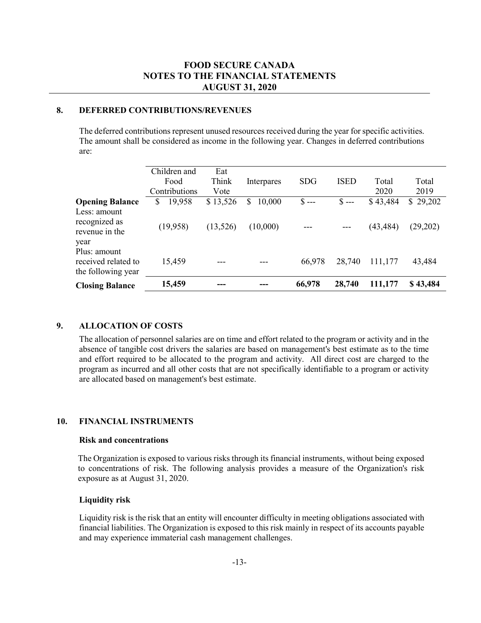## **8. DEFERRED CONTRIBUTIONS/REVENUES**

The deferred contributions represent unused resources received during the year for specific activities. The amount shall be considered as income in the following year. Changes in deferred contributions are:

|                                                           | Children and<br>Food<br>Contributions | Eat<br>Think<br>Vote | Interpares   | <b>SDG</b> | <b>ISED</b> | Total<br>2020 | Total<br>2019 |
|-----------------------------------------------------------|---------------------------------------|----------------------|--------------|------------|-------------|---------------|---------------|
| <b>Opening Balance</b>                                    | 19,958<br>\$                          | \$13,526             | 10,000<br>\$ | $S - -$    | $S$ ---     | \$43,484      | \$29,202      |
| Less: amount<br>recognized as<br>revenue in the<br>year   | (19,958)                              | (13,526)             | (10,000)     |            |             | (43, 484)     | (29,202)      |
| Plus: amount<br>received related to<br>the following year | 15,459                                |                      |              | 66,978     | 28,740      | 111,177       | 43,484        |
| <b>Closing Balance</b>                                    | 15,459                                |                      | ---          | 66,978     | 28,740      | 111,177       | \$43,484      |

## **9. ALLOCATION OF COSTS**

The allocation of personnel salaries are on time and effort related to the program or activity and in the absence of tangible cost drivers the salaries are based on management's best estimate as to the time and effort required to be allocated to the program and activity. All direct cost are charged to the program as incurred and all other costs that are not specifically identifiable to a program or activity are allocated based on management's best estimate.

## **10. FINANCIAL INSTRUMENTS**

#### **Risk and concentrations**

The Organization is exposed to various risks through its financial instruments, without being exposed to concentrations of risk. The following analysis provides a measure of the Organization's risk exposure as at August 31, 2020.

#### **Liquidity risk**

Liquidity risk is the risk that an entity will encounter difficulty in meeting obligations associated with financial liabilities. The Organization is exposed to this risk mainly in respect of its accounts payable and may experience immaterial cash management challenges.